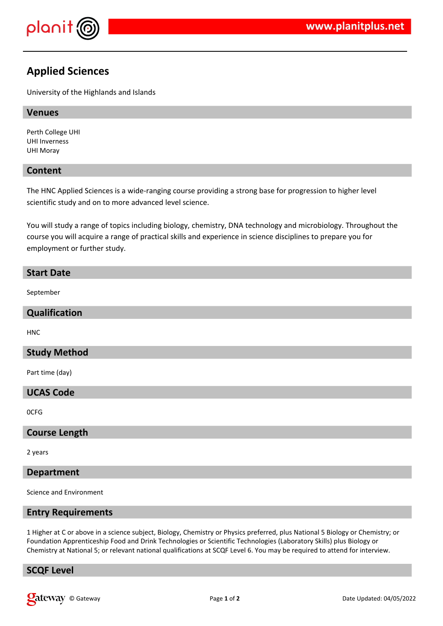

# **Applied Sciences**

University of the Highlands and Islands

## **Venues**

Perth College UHI UHI Inverness UHI Moray

## **Content**

The HNC Applied Sciences is a wide-ranging course providing a strong base for progression to higher level scientific study and on to more advanced level science.

You will study a range of topics including biology, chemistry, DNA technology and microbiology. Throughout the course you will acquire a range of practical skills and experience in science disciplines to prepare you for employment or further study.

## **Start Date**

September

#### **Qualification**

HNC

## **Study Method**

Part time (day)

#### **UCAS Code**

0CFG

## **Course Length**

2 years

#### **Department**

Science and Environment

## **Entry Requirements**

1 Higher at C or above in a science subject, Biology, Chemistry or Physics preferred, plus National 5 Biology or Chemistry; or Foundation Apprenticeship Food and Drink Technologies or Scientific Technologies (Laboratory Skills) plus Biology or Chemistry at National 5; or relevant national qualifications at SCQF Level 6. You may be required to attend for interview.

## **SCQF Level**